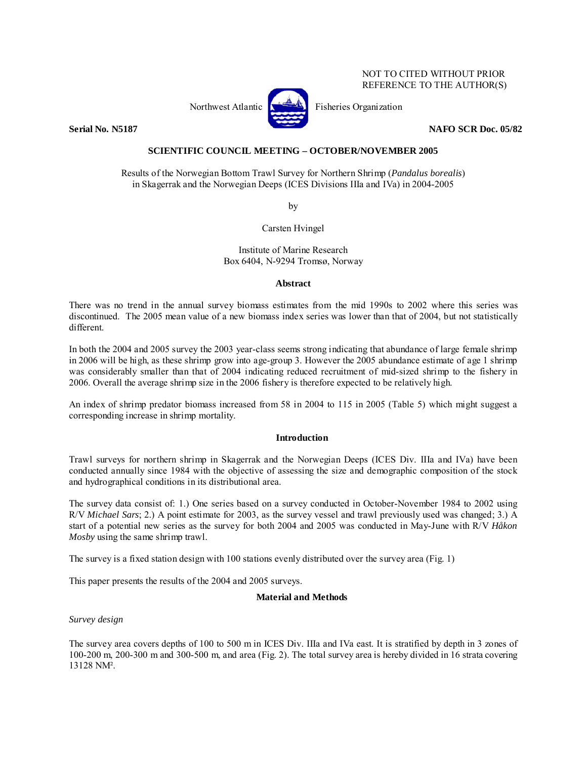# NOT TO CITED WITHOUT PRIOR REFERENCE TO THE AUTHOR(S)



Northwest Atlantic **No. 3. Expansion** Fisheries Organization

**Serial No. N5187 NAFO SCR Doc. 05/82** 

# **SCIENTIFIC COUNCIL MEETING – OCTOBER/NOVEMBER 2005**

Results of the Norwegian Bottom Trawl Survey for Northern Shrimp (*Pandalus borealis*) in Skagerrak and the Norwegian Deeps (ICES Divisions IIIa and IVa) in 2004-2005

by

Carsten Hvingel

Institute of Marine Research Box 6404, N-9294 Tromsø, Norway

### **Abstract**

There was no trend in the annual survey biomass estimates from the mid 1990s to 2002 where this series was discontinued. The 2005 mean value of a new biomass index series was lower than that of 2004, but not statistically different.

In both the 2004 and 2005 survey the 2003 year-class seems strong indicating that abundance of large female shrimp in 2006 will be high, as these shrimp grow into age-group 3. However the 2005 abundance estimate of age 1 shrimp was considerably smaller than that of 2004 indicating reduced recruitment of mid-sized shrimp to the fishery in 2006. Overall the average shrimp size in the 2006 fishery is therefore expected to be relatively high.

An index of shrimp predator biomass increased from 58 in 2004 to 115 in 2005 (Table 5) which might suggest a corresponding increase in shrimp mortality.

# **Introduction**

Trawl surveys for northern shrimp in Skagerrak and the Norwegian Deeps (ICES Div. IIIa and IVa) have been conducted annually since 1984 with the objective of assessing the size and demographic composition of the stock and hydrographical conditions in its distributional area.

The survey data consist of: 1.) One series based on a survey conducted in October-November 1984 to 2002 using R/V *Michael Sars*; 2.) A point estimate for 2003, as the survey vessel and trawl previously used was changed; 3.) A start of a potential new series as the survey for both 2004 and 2005 was conducted in May-June with R/V *Håkon Mosby* using the same shrimp trawl.

The survey is a fixed station design with 100 stations evenly distributed over the survey area (Fig. 1)

This paper presents the results of the 2004 and 2005 surveys.

# **Material and Methods**

# *Survey design*

The survey area covers depths of 100 to 500 m in ICES Div. IIIa and IVa east. It is stratified by depth in 3 zones of 100-200 m, 200-300 m and 300-500 m, and area (Fig. 2). The total survey area is hereby divided in 16 strata covering 13128 NM².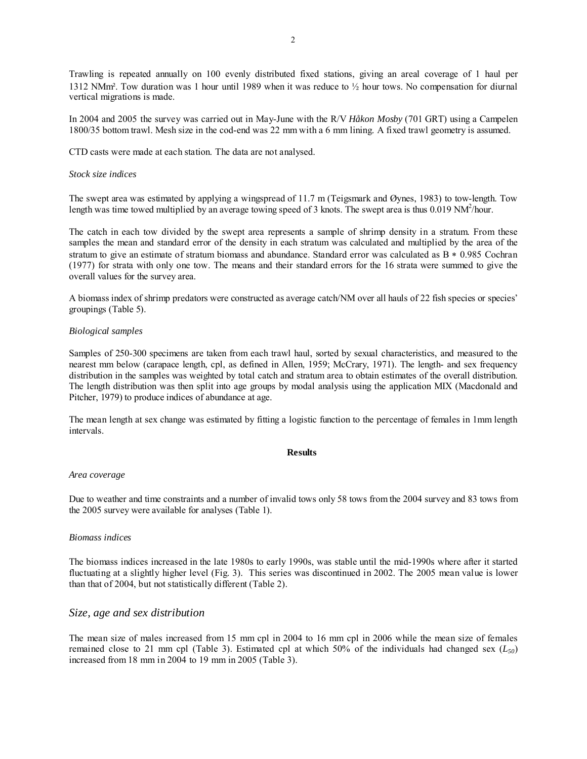Trawling is repeated annually on 100 evenly distributed fixed stations, giving an areal coverage of 1 haul per 1312 NMm². Tow duration was 1 hour until 1989 when it was reduce to ½ hour tows. No compensation for diurnal vertical migrations is made.

In 2004 and 2005 the survey was carried out in May-June with the R/V *Håkon Mosby* (701 GRT) using a Campelen 1800/35 bottom trawl. Mesh size in the cod-end was 22 mm with a 6 mm lining. A fixed trawl geometry is assumed.

CTD casts were made at each station. The data are not analysed.

### *Stock size indices*

The swept area was estimated by applying a wingspread of 11.7 m (Teigsmark and Øynes, 1983) to tow-length. Tow length was time towed multiplied by an average towing speed of 3 knots. The swept area is thus  $0.019 \text{ NM}^2/\text{hour}$ .

The catch in each tow divided by the swept area represents a sample of shrimp density in a stratum. From these samples the mean and standard error of the density in each stratum was calculated and multiplied by the area of the stratum to give an estimate of stratum biomass and abundance. Standard error was calculated as B  $*$  0.985 Cochran (1977) for strata with only one tow. The means and their standard errors for the 16 strata were summed to give the overall values for the survey area.

A biomass index of shrimp predators were constructed as average catch/NM over all hauls of 22 fish species or species' groupings (Table 5).

### *Biological samples*

Samples of 250-300 specimens are taken from each trawl haul, sorted by sexual characteristics, and measured to the nearest mm below (carapace length, cpl, as defined in Allen, 1959; McCrary, 1971). The length- and sex frequency distribution in the samples was weighted by total catch and stratum area to obtain estimates of the overall distribution. The length distribution was then split into age groups by modal analysis using the application MIX (Macdonald and Pitcher, 1979) to produce indices of abundance at age.

The mean length at sex change was estimated by fitting a logistic function to the percentage of females in 1mm length intervals.

#### **Results**

#### *Area coverage*

Due to weather and time constraints and a number of invalid tows only 58 tows from the 2004 survey and 83 tows from the 2005 survey were available for analyses (Table 1).

### *Biomass indices*

The biomass indices increased in the late 1980s to early 1990s, was stable until the mid-1990s where after it started fluctuating at a slightly higher level (Fig. 3). This series was discontinued in 2002. The 2005 mean value is lower than that of 2004, but not statistically different (Table 2).

### *Size, age and sex distribution*

The mean size of males increased from 15 mm cpl in 2004 to 16 mm cpl in 2006 while the mean size of females remained close to 21 mm cpl (Table 3). Estimated cpl at which 50% of the individuals had changed sex  $(L_{50})$ increased from 18 mm in 2004 to 19 mm in 2005 (Table 3).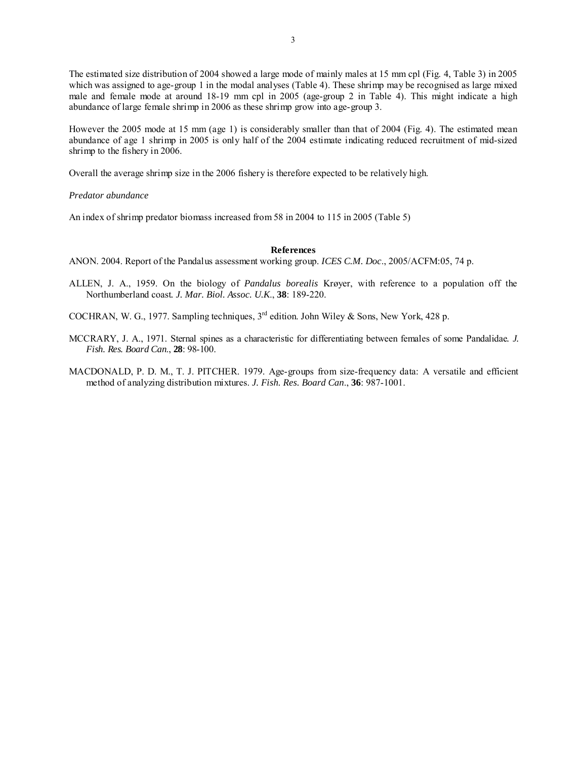3

The estimated size distribution of 2004 showed a large mode of mainly males at 15 mm cpl (Fig. 4, Table 3) in 2005 which was assigned to age-group 1 in the modal analyses (Table 4). These shrimp may be recognised as large mixed male and female mode at around 18-19 mm cpl in 2005 (age-group 2 in Table 4). This might indicate a high abundance of large female shrimp in 2006 as these shrimp grow into age-group 3.

However the 2005 mode at 15 mm (age 1) is considerably smaller than that of 2004 (Fig. 4). The estimated mean abundance of age 1 shrimp in 2005 is only half of the 2004 estimate indicating reduced recruitment of mid-sized shrimp to the fishery in 2006.

Overall the average shrimp size in the 2006 fishery is therefore expected to be relatively high.

*Predator abundance* 

An index of shrimp predator biomass increased from 58 in 2004 to 115 in 2005 (Table 5)

### **References**

ANON. 2004. Report of the Pandalus assessment working group. *ICES C.M. Doc*., 2005/ACFM:05, 74 p.

ALLEN, J. A., 1959. On the biology of *Pandalus borealis* Krøyer, with reference to a population off the Northumberland coast*. J. Mar. Biol. Assoc. U.K*., **38**: 189-220.

COCHRAN, W. G., 1977. Sampling techniques, 3rd edition. John Wiley & Sons, New York, 428 p.

- MCCRARY, J. A., 1971. Sternal spines as a characteristic for differentiating between females of some Pandalidae*. J. Fish. Res. Board Can*., **28**: 98-100.
- MACDONALD, P. D. M., T. J. PITCHER. 1979. Age-groups from size-frequency data: A versatile and efficient method of analyzing distribution mixtures. *J. Fish. Res. Board Can*., **36**: 987-1001.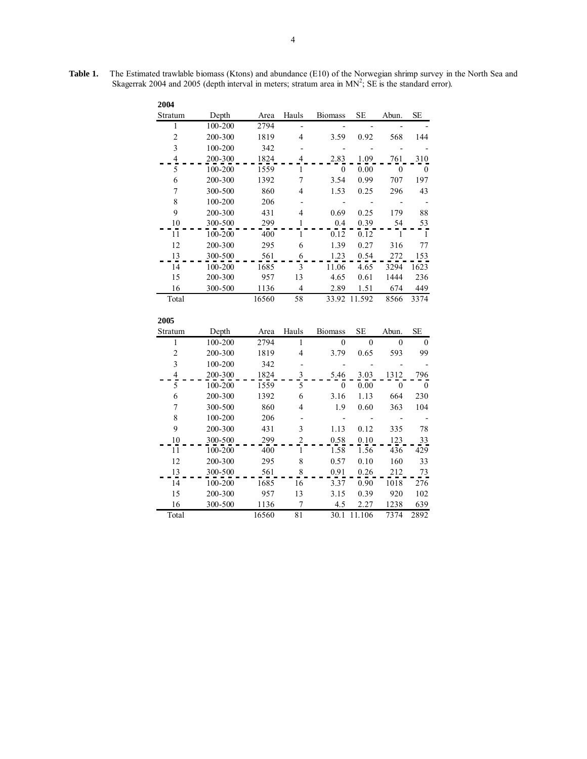| 2004                    |         |       |                  |                  |              |                |                  |
|-------------------------|---------|-------|------------------|------------------|--------------|----------------|------------------|
| Stratum                 | Depth   | Area  | Hauls            | <b>Biomass</b>   | <b>SE</b>    | Abun.          | <b>SE</b>        |
| 1                       | 100-200 | 2794  |                  |                  |              |                |                  |
| $\overline{c}$          | 200-300 | 1819  | 4                | 3.59             | 0.92         | 568            | 144              |
| $\overline{\mathbf{3}}$ | 100-200 | 342   |                  |                  |              |                |                  |
| $rac{4}{5}$             | 200-300 | 1824  | 4                | 2.83             | 1.09         | 761            | 310              |
|                         | 100-200 | 1559  | 1                | $\boldsymbol{0}$ | 0.00         | $\mathbf{0}$   | 0                |
| 6                       | 200-300 | 1392  | $\overline{7}$   | 3.54             | 0.99         | 707            | 197              |
| 7                       | 300-500 | 860   | $\overline{4}$   | 1.53             | 0.25         | 296            | 43               |
| 8                       | 100-200 | 206   |                  |                  |              |                |                  |
| 9                       | 200-300 | 431   | 4                | 0.69             | 0.25         | 179            | 88               |
| 10                      | 300-500 | 299   | $\mathbf{1}$     | 0.4              | 0.39         | 54             | 53               |
| 11                      | 100-200 | 400   | 1                | 0.12             | 0.12         | 1              | $\overline{1}$   |
| 12                      | 200-300 | 295   | 6                | 1.39             | 0.27         | 316            | 77               |
| 13                      | 300-500 | 561   | 6                | 1.23             | 0.54         | 272            | 153              |
| 14                      | 100-200 | 1685  | $\overline{3}$   | 11.06            | 4.65         | 3294           | 1623             |
| 15                      | 200-300 | 957   | 13               | 4.65             | 0.61         | 1444           | 236              |
| 16                      | 300-500 | 1136  | $\overline{4}$   | 2.89             | 1.51         | 674            | 449              |
| Total                   |         | 16560 | $\overline{58}$  | 33.92            | 11.592       | 8566           | 3374             |
| 2005                    |         |       |                  |                  |              |                |                  |
| Stratum                 | Depth   | Area  | Hauls            | <b>Biomass</b>   | <b>SE</b>    | Abun.          | <b>SE</b>        |
| $\mathbf{1}$            | 100-200 | 2794  | $\mathbf{1}$     | 0                | $\mathbf{0}$ | $\overline{0}$ | $\boldsymbol{0}$ |
| $\overline{c}$          | 200-300 | 1819  | $\overline{4}$   | 3.79             | 0.65         | 593            | 99               |
| 3                       | 100-200 | 342   |                  |                  |              |                |                  |
| $\overline{\mathbf{4}}$ | 200-300 | 1824  | 3                | 5.46             | 3.03         | 1312           | 796              |
| 5                       | 100-200 | 1559  | 5                | 0                | 0.00         | $\theta$       | 0                |
| 6                       | 200-300 | 1392  | 6                | 3.16             | 1.13         | 664            | 230              |
| $\sqrt{ }$              | 300-500 | 860   | 4                | 1.9              | 0.60         | 363            | 104              |
| 8                       | 100-200 | 206   |                  |                  |              |                |                  |
| 9                       | 200-300 | 431   | 3                | 1.13             | 0.12         | 335            | 78               |
| 10                      | 300-500 | 299   | $\overline{2}$   | 0.58             | 0.10         | 123            | 33               |
| $\overline{11}$         | 100-200 | 400   | $\mathbf{1}$     | 1.58             | 1.56         | 436            | 429              |
| 12                      | 200-300 | 295   | 8                | 0.57             | 0.10         | 160            | 33               |
| 13                      | 300-500 | 561   | 8                | 0.91             | 0.26         | 212            | 73               |
| 14                      | 100-200 | 1685  | 16               | 3.37             | 0.90         | 1018           | 276              |
| 15                      | 200-300 | 957   | 13               | 3.15             | 0.39         | 920            | 102              |
| 16                      |         | 1136  | $\boldsymbol{7}$ | 4.5              | 2.27         | 1238           | 639              |
|                         | 300-500 |       |                  |                  |              |                |                  |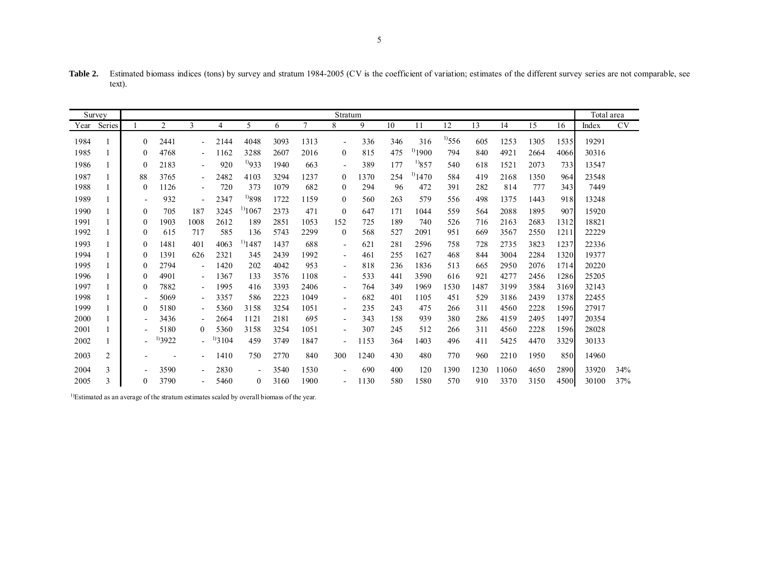Table 2. Estimated biomass indices (tons) by survey and stratum 1984-2005 (CV is the coefficient of variation; estimates of the different survey series are not comparable, see text).

|      | Survey |                          |                |                          |             |                    |      |        | Stratum                  |      |     |             |             |      |       |      |      | Total area |           |
|------|--------|--------------------------|----------------|--------------------------|-------------|--------------------|------|--------|--------------------------|------|-----|-------------|-------------|------|-------|------|------|------------|-----------|
| Year | Series |                          | $\overline{c}$ | 3                        | 4           | 5                  | 6    | $\tau$ | 8                        | 9    | 10  | 11          | 12          | 13   | 14    | 15   | 16   | Index      | <b>CV</b> |
| 1984 |        | 0                        | 2441           | $\blacksquare$           | 2144        | 4048               | 3093 | 1313   | $\overline{\phantom{a}}$ | 336  | 346 | 316         | $^{1)}$ 556 | 605  | 1253  | 1305 | 1535 | 19291      |           |
| 1985 |        | $^{(1)}$                 | 4768           | $\overline{\phantom{a}}$ | 1162        | 3288               | 2607 | 2016   | $\theta$                 | 815  | 475 | $^{1}$ 1900 | 794         | 840  | 4921  | 2664 | 4066 | 30316      |           |
| 1986 |        | $\Omega$                 | 2183           | $\blacksquare$           | 920         | $^{10}933$         | 1940 | 663    | $\blacksquare$           | 389  | 177 | $^{19}857$  | 540         | 618  | 1521  | 2073 | 733  | 13547      |           |
| 1987 |        | 88                       | 3765           | $\overline{\phantom{a}}$ | 2482        | 4103               | 3294 | 1237   | $\theta$                 | 1370 | 254 | 1470        | 584         | 419  | 2168  | 1350 | 964  | 23548      |           |
| 1988 |        | $\left($                 | 1126           | $\blacksquare$           | 720         | 373                | 1079 | 682    | $\theta$                 | 294  | 96  | 472         | 391         | 282  | 814   | 777  | 343  | 7449       |           |
| 1989 |        | $\overline{\phantom{a}}$ | 932            | $\overline{\phantom{a}}$ | 2347        | $^{19}898$         | 1722 | 1159   | $\overline{0}$           | 560  | 263 | 579         | 556         | 498  | 1375  | 1443 | 918  | 13248      |           |
| 1990 |        | $\theta$                 | 705            | 187                      | 3245        | <sup>1)</sup> 1067 | 2373 | 471    | $\Omega$                 | 647  | 171 | 1044        | 559         | 564  | 2088  | 1895 | 907  | 15920      |           |
| 1991 |        | $\theta$                 | 1903           | 1008                     | 2612        | 189                | 2851 | 1053   | 152                      | 725  | 189 | 740         | 526         | 716  | 2163  | 2683 | 1312 | 18821      |           |
| 1992 |        | $\theta$                 | 615            | 717                      | 585         | 136                | 5743 | 2299   | $\Omega$                 | 568  | 527 | 2091        | 951         | 669  | 3567  | 2550 | 1211 | 22229      |           |
| 1993 |        | $\left($                 | 1481           | 401                      | 4063        | $^{1)}$ 1487       | 1437 | 688    | $\overline{\phantom{a}}$ | 621  | 281 | 2596        | 758         | 728  | 2735  | 3823 | 1237 | 22336      |           |
| 1994 |        | $\Omega$                 | 1391           | 626                      | 2321        | 345                | 2439 | 1992   | $\blacksquare$           | 461  | 255 | 1627        | 468         | 844  | 3004  | 2284 | 1320 | 19377      |           |
| 1995 |        | $\Omega$                 | 2794           | $\blacksquare$           | 1420        | 202                | 4042 | 953    | $\sim$                   | 818  | 236 | 1836        | 513         | 665  | 2950  | 2076 | 1714 | 20220      |           |
| 1996 |        | $\theta$                 | 4901           | $\blacksquare$           | 1367        | 133                | 3576 | 1108   | $\sim$                   | 533  | 441 | 3590        | 616         | 921  | 4277  | 2456 | 1286 | 25205      |           |
| 1997 |        | $\Omega$                 | 7882           | $\blacksquare$           | 1995        | 416                | 3393 | 2406   | $\sim$                   | 764  | 349 | 1969        | 1530        | 1487 | 3199  | 3584 | 3169 | 32143      |           |
| 1998 |        | $\overline{\phantom{a}}$ | 5069           | $\blacksquare$           | 3357        | 586                | 2223 | 1049   | $\sim$                   | 682  | 401 | 1105        | 451         | 529  | 3186  | 2439 | 1378 | 22455      |           |
| 1999 |        | $\theta$                 | 5180           | $\blacksquare$           | 5360        | 3158               | 3254 | 1051   | $\sim$                   | 235  | 243 | 475         | 266         | 311  | 4560  | 2228 | 1596 | 27917      |           |
| 2000 |        | ۰                        | 3436           | $\blacksquare$           | 2664        | 1121               | 2181 | 695    | $\sim$                   | 343  | 158 | 939         | 380         | 286  | 4159  | 2495 | 1497 | 20354      |           |
| 2001 |        |                          | 5180           | $\theta$                 | 5360        | 3158               | 3254 | 1051   | $\blacksquare$           | 307  | 245 | 512         | 266         | 311  | 4560  | 2228 | 1596 | 28028      |           |
| 2002 |        | -                        | $^{11}3922$    | $\blacksquare$           | $^{1}$ 3104 | 459                | 3749 | 1847   | $\blacksquare$           | 1153 | 364 | 1403        | 496         | 411  | 5425  | 4470 | 3329 | 30133      |           |
| 2003 | 2      |                          |                | $\overline{\phantom{a}}$ | 1410        | 750                | 2770 | 840    | 300                      | 1240 | 430 | 480         | 770         | 960  | 2210  | 1950 | 850  | 14960      |           |
| 2004 | 3      |                          | 3590           | $\blacksquare$           | 2830        | $\sim$             | 3540 | 1530   |                          | 690  | 400 | 120         | 1390        | 1230 | 11060 | 4650 | 2890 | 33920      | 34%       |
| 2005 | 3      | 0                        | 3790           |                          | 5460        | $\theta$           | 3160 | 1900   | $\blacksquare$           | 1130 | 580 | 1580        | 570         | 910  | 3370  | 3150 | 4500 | 30100      | 37%       |

<sup>1)</sup>Estimated as an average of the stratum estimates scaled by overall biomass of the year.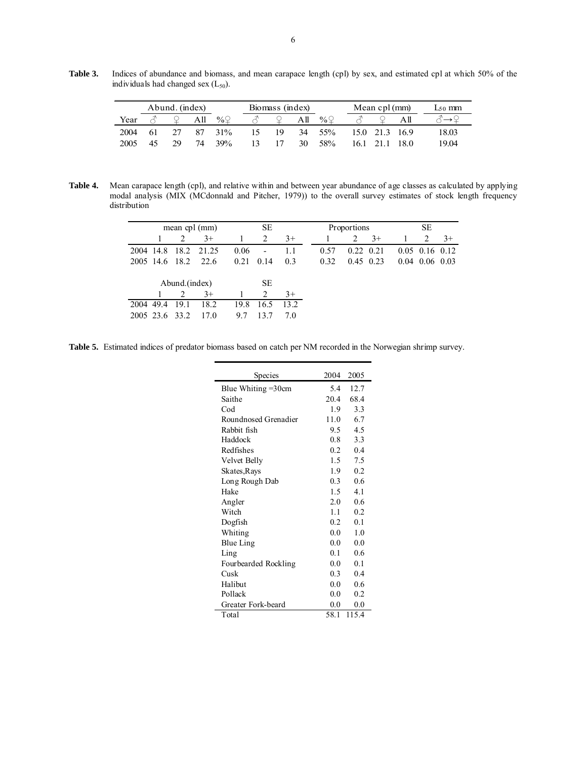**Table 3.** Indices of abundance and biomass, and mean carapace length (cpl) by sex, and estimated cpl at which 50% of the individuals had changed sex  $(L_{50})$ .

| Abund. (index) |    |     |     |             |                |    | Biomass (index) |                 |      | Mean cpl (mm) | $L_{50}$ mm |       |
|----------------|----|-----|-----|-------------|----------------|----|-----------------|-----------------|------|---------------|-------------|-------|
| Year           |    |     | All | % $\varphi$ |                |    | All             | % $\mathcal{Q}$ |      |               |             |       |
| 2004           | 61 |     | 87  | 31%         | $\overline{5}$ | 19 | 34              | 55%             |      | 150 213 169   |             | 18.03 |
| 2005           | 45 | 29. | 74  | 39%         | 13.            |    | 30              | 58%             | 16 I |               | 18 O        | 19 04 |

**Table 4.** Mean carapace length (cpl), and relative within and between year abundance of age classes as calculated by applying modal analysis (MIX (MCdonnald and Pitcher, 1979)) to the overall survey estimates of stock length frequency distribution

|      | mean cpl (mm)  |      |       |      | <b>SE</b>                |      |  |      | Proportions | SE          |                  |      |
|------|----------------|------|-------|------|--------------------------|------|--|------|-------------|-------------|------------------|------|
|      |                | 2    | $3+$  |      | 2                        | $3+$ |  |      | 2           | $3+$        | 2                | $3+$ |
| 2004 | 14.8           | 18.2 | 21.25 | 0.06 | $\overline{\phantom{0}}$ | 1.1  |  | 0.57 | 0.22        | 0.21        | $0.05$ 0.16 0.12 |      |
|      | 2005 14.6      | 18.2 | 22.6  | 0.21 | 0.14                     | 0.3  |  | 0.32 |             | $0.45$ 0.23 | $0.04$ 0.06 0.03 |      |
|      |                |      |       |      |                          |      |  |      |             |             |                  |      |
|      | Abund.(index)  |      |       |      | <b>SE</b>                |      |  |      |             |             |                  |      |
|      |                | 2    | $3+$  |      | 2                        | $3+$ |  |      |             |             |                  |      |
| 2004 | 49.4           | 19.1 | 18.2  | 19.8 | 16.5                     | 13.2 |  |      |             |             |                  |      |
|      | 2005 23.6 33.2 |      | 17 0  | 9.7  | 137                      | 70   |  |      |             |             |                  |      |
|      |                |      |       |      |                          |      |  |      |             |             |                  |      |

**Table 5.** Estimated indices of predator biomass based on catch per NM recorded in the Norwegian shrimp survey.

| Species               | 2004          | 2005  |
|-----------------------|---------------|-------|
| Blue Whiting $=30$ cm | 5.4           | 12.7  |
| Saithe                | 20.4          | 68.4  |
| Cod                   | 1.9           | 3.3   |
| Roundnosed Grenadier  | 11.0          | 6.7   |
| Rabbit fish           | 9.5           | 4.5   |
| Haddock               | 0.8           | 3.3   |
| Redfishes             | 0.2           | 0.4   |
| Velvet Belly          | $1.5 -$       | 7.5   |
| Skates, Rays          | 1.9           | 02    |
| Long Rough Dab        | 0.3           | 0.6   |
| Hake                  | $1.5^{\circ}$ | 4.1   |
| Angler                | 2.0           | 0.6   |
| Witch                 | 1.1           | 0.2   |
| Dogfish               | 0.2           | 0.1   |
| Whiting               | 0.0           | 1.0   |
| <b>Blue Ling</b>      | 0.0           | 0.0   |
| Ling                  | 0.1           | 0.6   |
| Fourbearded Rockling  | 0.0           | 0.1   |
| Cusk                  | 0.3           | 0.4   |
| Halibut               | 0.0           | 0.6   |
| Pollack               | 0.0           | 0.2   |
| Greater Fork-beard    | 0.0           | 0.0   |
| Total                 | 58.1          | 115.4 |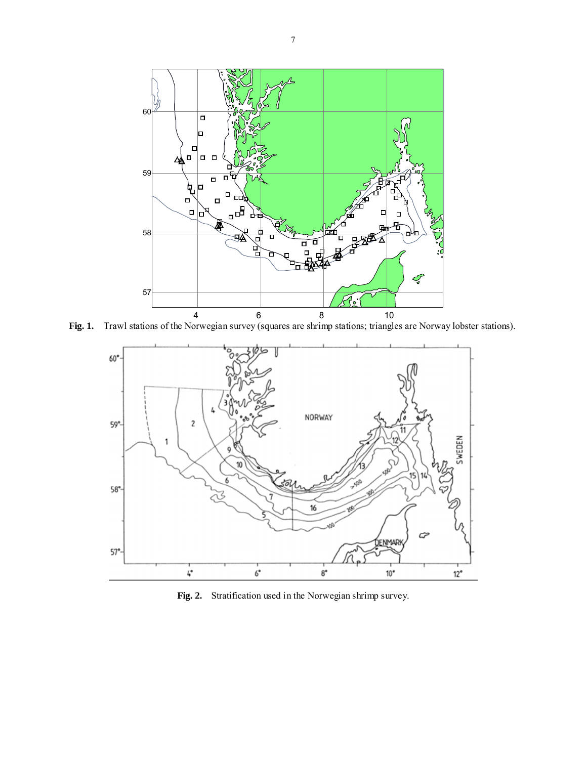

**Fig. 1.** Trawl stations of the Norwegian survey (squares are shrimp stations; triangles are Norway lobster stations).



**Fig. 2.** Stratification used in the Norwegian shrimp survey.